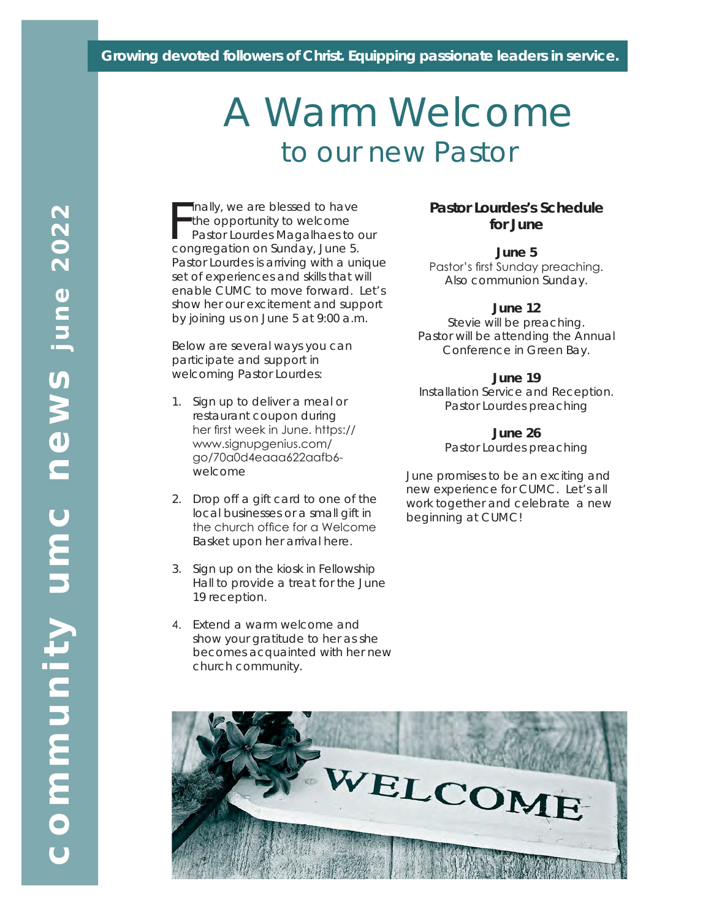#### *Growing devoted followers of Christ. Equipping passionate leaders in service.*

# A Warm Welcome to our new Pastor

Finally, we are blessed to have<br>the opportunity to welcome<br>Pastor Lourdes Magalhaes to congregation on Sunday, June 5. inally, we are blessed to have the opportunity to welcome Pastor Lourdes Magalhaes to our Pastor Lourdes is arriving with a unique set of experiences and skills that will enable CUMC to move forward. Let's show her our excitement and support by joining us on June 5 at 9:00 a.m.

Below are several ways you can participate and support in welcoming Pastor Lourdes:

- 1. Sign up to deliver a meal or restaurant coupon during her first week in June. https:// www.signupgenius.com/ go/70a0d4eaaa622aafb6 welcome
- 2. Drop off a gift card to one of the local businesses or a small gift in the church office for a Welcome Basket upon her arrival here.
- 3. Sign up on the kiosk in Fellowship Hall to provide a treat for the June 19 reception.
- 4. Extend a warm welcome and show your gratitude to her as she becomes acquainted with her new church community.

#### **Pastor Lourdes's Schedule for June**

**June 5** Pastor's first Sunday preaching. Also communion Sunday.

#### **June 12**

Stevie will be preaching. Pastor will be attending the Annual Conference in Green Bay.

#### **June 19**

Installation Service and Reception. Pastor Lourdes preaching

**June 26**

Pastor Lourdes preaching

June promises to be an exciting and new experience for CUMC. Let's all work together and celebrate a new beginning at CUMC!

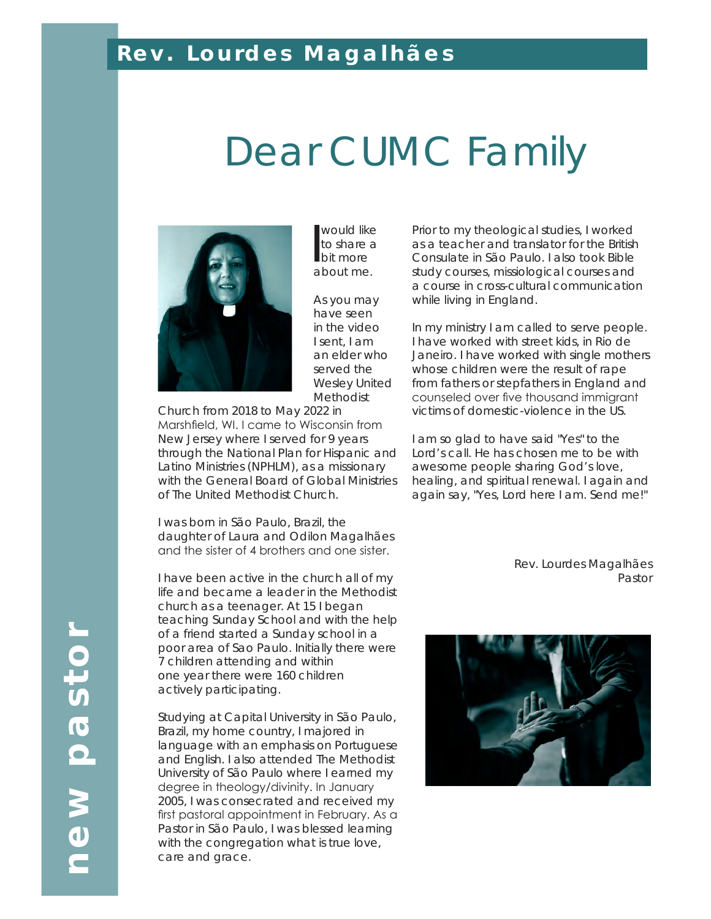#### *Rev. Lourdes Magalhães*

# Dear CUMC Family



would like<br>to share a<br>bit more to share a bit more about me.

As you may have seen in the video I sent, I am an elder who served the Wesley United Methodist

Church from 2018 to May 2022 in Marshfield, WI. I came to Wisconsin from New Jersey where I served for 9 years through the National Plan for Hispanic and Latino Ministries (NPHLM), as a missionary with the General Board of Global Ministries of The United Methodist Church.

I was born in São Paulo, Brazil, the daughter of Laura and Odilon Magalhães and the sister of 4 brothers and one sister.

I have been active in the church all of my life and became a leader in the Methodist church as a teenager. At 15 I began teaching Sunday School and with the help of a friend started a Sunday school in a poor area of Sao Paulo. Initially there were 7 children attending and within one year there were 160 children actively participating.

Studying at Capital University in São Paulo, Brazil, my home country, I majored in language with an emphasis on Portuguese and English. I also attended The Methodist University of São Paulo where I earned my degree in theology/divinity. In January 2005, I was consecrated and received my first pastoral appointment in February. As a Pastor in São Paulo, I was blessed learning with the congregation what is true love, care and grace.

Prior to my theological studies, I worked as a teacher and translator for the British Consulate in São Paulo. I also took Bible study courses, missiological courses and a course in cross-cultural communication while living in England.

In my ministry I am called to serve people. I have worked with street kids, in Rio de Janeiro. I have worked with single mothers whose children were the result of rape from fathers or stepfathers in England and counseled over five thousand immigrant victims of domestic-violence in the US.

I am so glad to have said "Yes" to the Lord's call. He has chosen me to be with awesome people sharing God's love, healing, and spiritual renewal. I again and again say, "Yes, Lord here I am. Send me!"

> *Rev. Lourdes Magalhães Pastor*

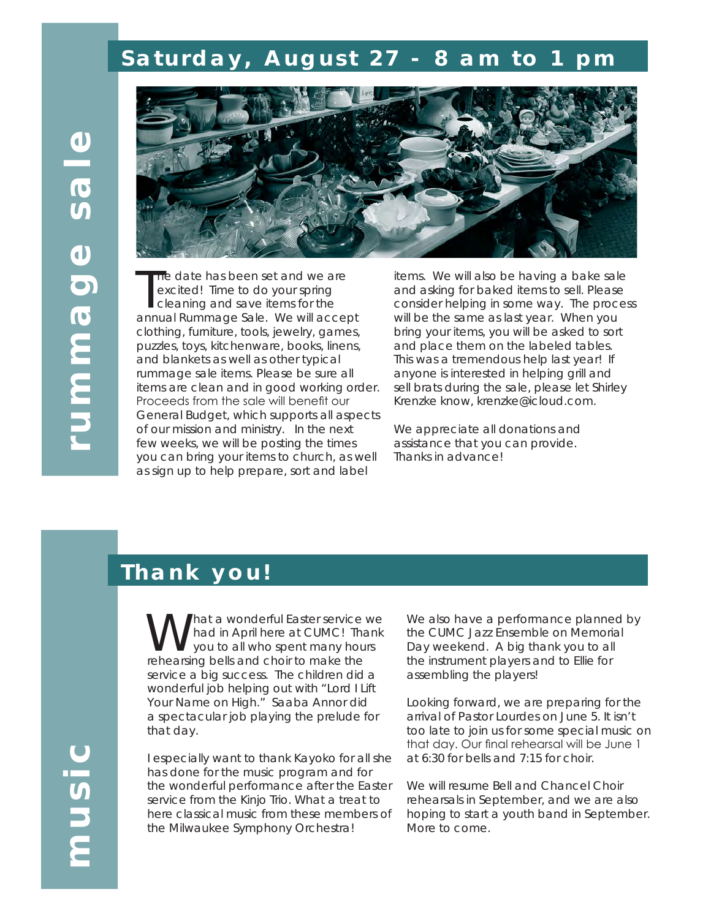## *Saturday, August 27 - 8 am to 1 pm*



The date has been set and we are<br>excited! Time to do your spring<br>cleaning and save items for the<br>annual Rummage Sale. We will accept he date has been set and we are excited! Time to do your spring cleaning and save items for the clothing, furniture, tools, jewelry, games, puzzles, toys, kitchenware, books, linens, and blankets as well as other typical rummage sale items. Please be sure all items are clean and in good working order. Proceeds from the sale will benefit our General Budget, which supports all aspects of our mission and ministry. In the next few weeks, we will be posting the times you can bring your items to church, as well as sign up to help prepare, sort and label

items. We will also be having a bake sale and asking for baked items to sell. Please consider helping in some way. The process will be the same as last year. When you bring your items, you will be asked to sort and place them on the labeled tables. This was a tremendous help last year! If anyone is interested in helping grill and sell brats during the sale, please let Shirley Krenzke know, krenzke@icloud.com.

We appreciate all donations and assistance that you can provide. Thanks in advance!

#### *Thank you!*

hat a wonderful Easter service we had in April here at CUMC! Thank you to all who spent many hours rehearsing bells and choir to make the service a big success. The children did a wonderful job helping out with "Lord I Lift Your Name on High." Saaba Annor did a spectacular job playing the prelude for that day.

**music**

I especially want to thank Kayoko for all she has done for the music program and for the wonderful performance after the Easter service from the Kinjo Trio. What a treat to here classical music from these members of the Milwaukee Symphony Orchestra!

We also have a performance planned by the CUMC Jazz Ensemble on Memorial Day weekend. A big thank you to all the instrument players and to Ellie for assembling the players!

Looking forward, we are preparing for the arrival of Pastor Lourdes on June 5. It isn't too late to join us for some special music on that day. Our final rehearsal will be June 1 at 6:30 for bells and 7:15 for choir.

We will resume Bell and Chancel Choir rehearsals in September, and we are also hoping to start a youth band in September. More to come.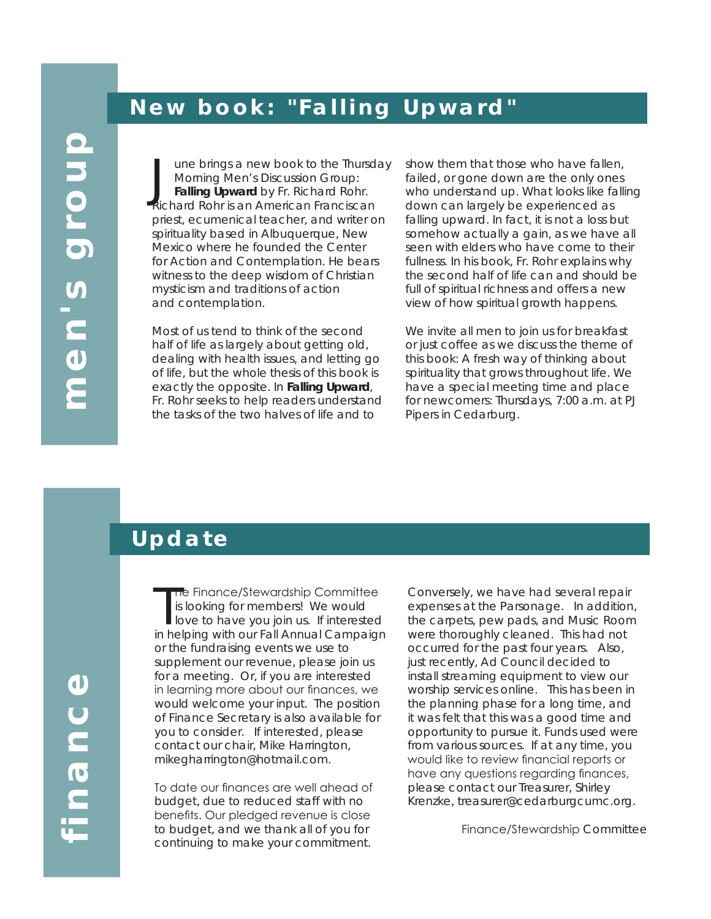#### June brings a new book to the Thursd<br>Morning Men's Discussion Group:<br>Falling Upward by Fr. Richard Rohr.<br>Richard Rohr is an American Franciscan une brings a new book to the Thursday Morning Men's Discussion Group: **Falling Upward** by Fr. Richard Rohr. priest, ecumenical teacher, and writer on spirituality based in Albuquerque, New Mexico where he founded the Center for Action and Contemplation. He bears witness to the deep wisdom of Christian mysticism and traditions of action and contemplation.

*New book: "Falling Upward"*

Most of us tend to think of the second half of life as largely about getting old, dealing with health issues, and letting go of life, but the whole thesis of this book is exactly the opposite. In **Falling Upward**, Fr. Rohr seeks to help readers understand the tasks of the two halves of life and to

show them that those who have fallen, failed, or gone down are the only ones who understand up. What looks like falling down can largely be experienced as falling upward. In fact, it is not a loss but somehow actually a gain, as we have all seen with elders who have come to their fullness. In his book, Fr. Rohr explains why the second half of life can and should be full of spiritual richness and offers a new view of how spiritual growth happens.

We invite all men to join us for breakfast or just coffee as we discuss the theme of this book: A fresh way of thinking about spirituality that grows throughout life. We have a special meeting time and place for newcomers: Thursdays, 7:00 a.m. at PJ Pipers in Cedarburg.

#### *Update*

The Finance/Stewardship Committee<br>is looking for members! We would<br>love to have you join us. If interested<br>in helping with our Fall Annual Campaign he Finance/Stewardship Committee is looking for members! We would love to have you join us. If interested or the fundraising events we use to supplement our revenue, please join us for a meeting. Or, if you are interested in learning more about our finances, we would welcome your input. The position of Finance Secretary is also available for you to consider. If interested, please contact our chair, Mike Harrington, mikegharrington@hotmail.com.

To date our finances are well ahead of budget, due to reduced staff with no benefits. Our pledged revenue is close to budget, and we thank all of you for continuing to make your commitment.

Conversely, we have had several repair expenses at the Parsonage. In addition, the carpets, pew pads, and Music Room were thoroughly cleaned. This had not occurred for the past four years. Also, just recently, Ad Council decided to install streaming equipment to view our worship services online. This has been in the planning phase for a long time, and it was felt that this was a good time and opportunity to pursue it. Funds used were from various sources. If at any time, you would like to review financial reports or have any questions regarding finances, please contact our Treasurer, Shirley Krenzke, treasurer@cedarburgcumc.org.

Finance/Stewardship *Committee*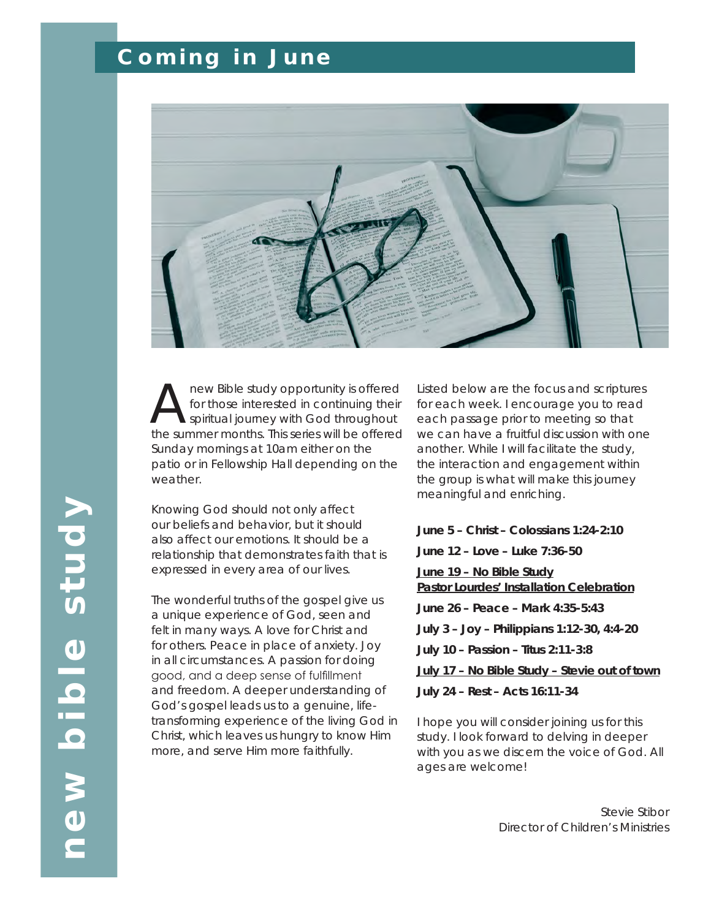## *Coming in June*



new Bible study opportunity is offered for those interested in continuing their spiritual journey with God throughout the summer months. This series will be offered Sunday mornings at 10am either on the patio or in Fellowship Hall depending on the weather.

Knowing God should not only affect our beliefs and behavior, but it should also affect our emotions. It should be a relationship that demonstrates faith that is expressed in every area of our lives.

The wonderful truths of the gospel give us a unique experience of God, seen and felt in many ways. A love for Christ and for others. Peace in place of anxiety. Joy in all circumstances. A passion for doing good, and a deep sense of fulfillment and freedom. A deeper understanding of God's gospel leads us to a genuine, lifetransforming experience of the living God in Christ, which leaves us hungry to know Him more, and serve Him more faithfully.

Listed below are the focus and scriptures for each week. I encourage you to read each passage prior to meeting so that we can have a fruitful discussion with one another. While I will facilitate the study, the interaction and engagement within the group is what will make this journey meaningful and enriching.

**June 5 – Christ – Colossians 1:24-2:10**

**June 12 – Love – Luke 7:36-50**

**June 19 – No Bible Study Pastor Lourdes' Installation Celebration**

**June 26 – Peace – Mark 4:35-5:43**

**July 3 – Joy – Philippians 1:12-30, 4:4-20**

**July 10 – Passion – Titus 2:11-3:8** 

**July 17 – No Bible Study – Stevie out of town**

**July 24 – Rest – Acts 16:11-34**

I hope you will consider joining us for this study. I look forward to delving in deeper with you as we discern the voice of God. All ages are welcome!

> *Stevie Stibor Director of Children's Ministries*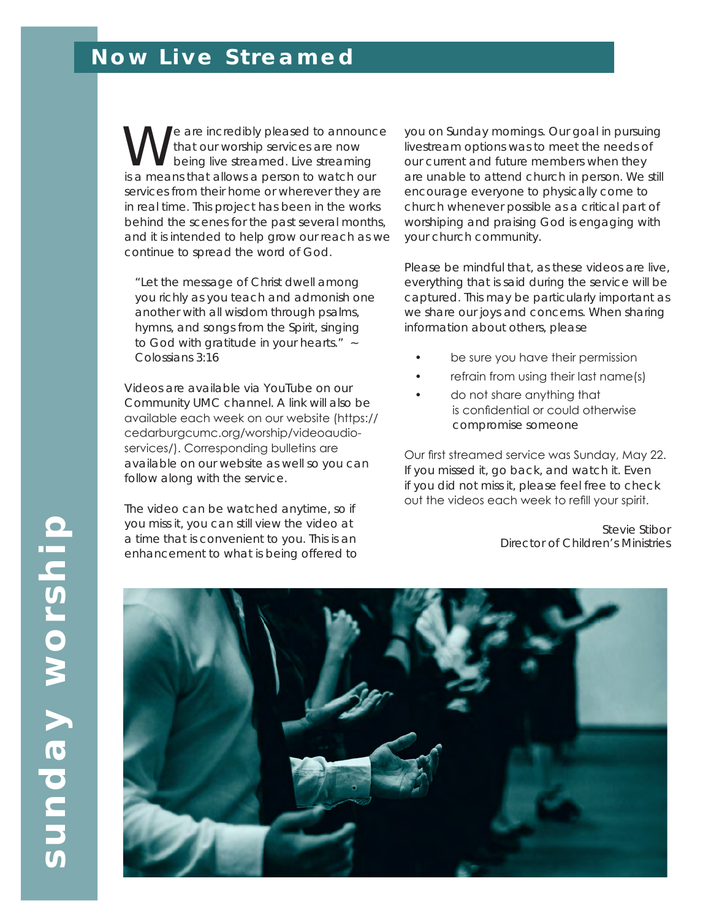## *Now Live Streamed*

We are incredibly pleased to announce<br>that our worship services are now<br>is a moans that allows a porson to watch our that our worship services are now being live streamed. Live streaming is a means that allows a person to watch our services from their home or wherever they are in real time. This project has been in the works behind the scenes for the past several months, and it is intended to help grow our reach as we continue to spread the word of God.

"Let the message of Christ dwell among you richly as you teach and admonish one another with all wisdom through psalms, hymns, and songs from the Spirit, singing to God with gratitude in your hearts." ~ Colossians 3:16

Videos are available via YouTube on our Community UMC channel. A link will also be available each week on our website (https:// cedarburgcumc.org/worship/videoaudioservices/). Corresponding bulletins are available on our website as well so you can follow along with the service.

The video can be watched anytime, so if you miss it, you can still view the video at a time that is convenient to you. This is an enhancement to what is being offered to

you on Sunday mornings. Our goal in pursuing livestream options was to meet the needs of our current and future members when they are unable to attend church in person. We still encourage everyone to physically come to church whenever possible as a critical part of worshiping and praising God is engaging with your church community.

Please be mindful that, as these videos are live, everything that is said during the service will be captured. This may be particularly important as we share our joys and concerns. When sharing information about others, please

- be sure you have their permission
- refrain from using their last name(s)
- do not share anything that is confidential or could otherwise compromise someone

Our first streamed service was Sunday, May 22. If you missed it, go back, and watch it. Even if you did not miss it, please feel free to check out the videos each week to refill your spirit.

> *Stevie Stibor Director of Children's Ministries*

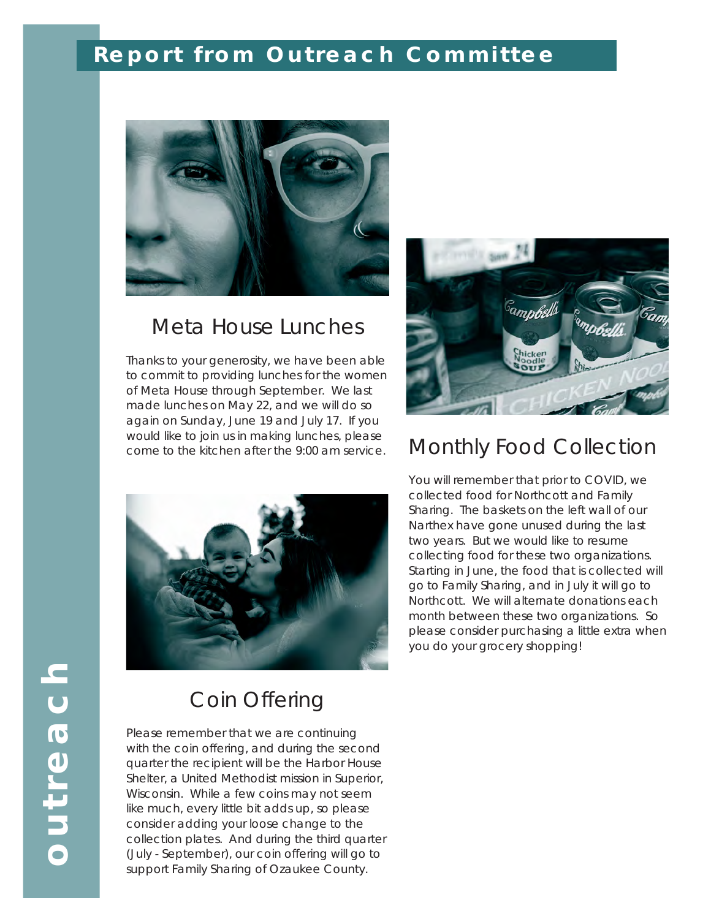## *Report from Outreach Committee*



#### Meta House Lunches

Thanks to your generosity, we have been able to commit to providing lunches for the women of Meta House through September. We last made lunches on May 22, and we will do so again on Sunday, June 19 and July 17. If you would like to join us in making lunches, please come to the kitchen after the 9:00 am service. Monthly Food Collection





#### Coin Offering

Please remember that we are continuing with the coin offering, and during the second quarter the recipient will be the Harbor House Shelter, a United Methodist mission in Superior, Wisconsin. While a few coins may not seem like much, every little bit adds up, so please consider adding your loose change to the collection plates. And during the third quarter (July - September), our coin offering will go to support Family Sharing of Ozaukee County.

You will remember that prior to COVID, we collected food for Northcott and Family Sharing. The baskets on the left wall of our Narthex have gone unused during the last two years. But we would like to resume collecting food for these two organizations. Starting in June, the food that is collected will go to Family Sharing, and in July it will go to Northcott. We will alternate donations each month between these two organizations. So please consider purchasing a little extra when you do your grocery shopping!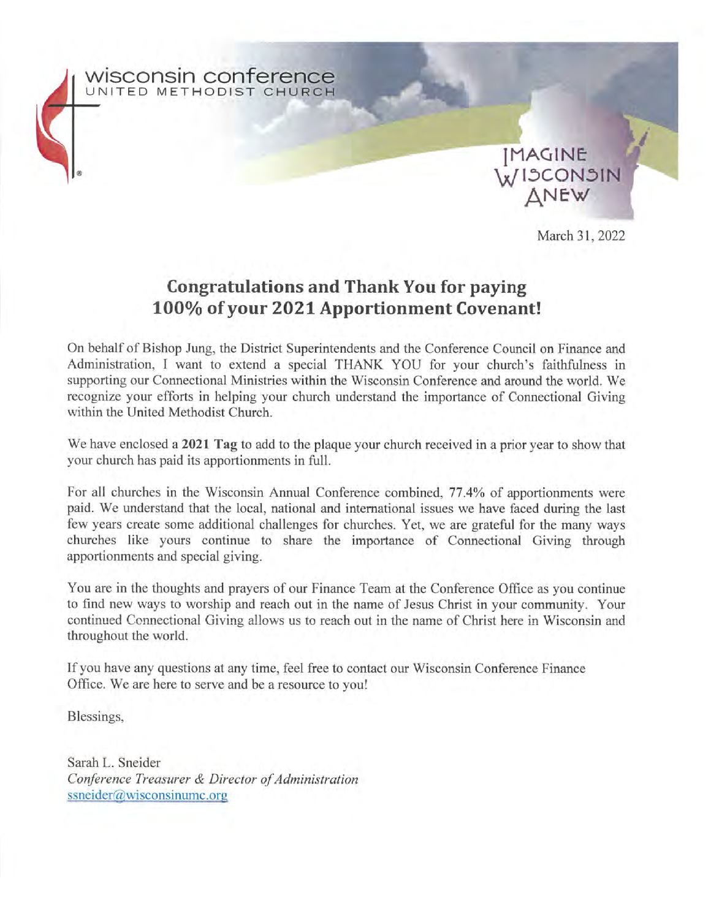

#### **Congratulations and Thank You for paying** 100% of your 2021 Apportionment Covenant!

On behalf of Bishop Jung, the District Superintendents and the Conference Council on Finance and Administration, I want to extend a special THANK YOU for your church's faithfulness in supporting our Connectional Ministries within the Wisconsin Conference and around the world. We recognize your efforts in helping your church understand the importance of Connectional Giving within the United Methodist Church.

We have enclosed a 2021 Tag to add to the plaque your church received in a prior year to show that your church has paid its apportionments in full.

For all churches in the Wisconsin Annual Conference combined, 77.4% of apportionments were paid. We understand that the local, national and international issues we have faced during the last few years create some additional challenges for churches. Yet, we are grateful for the many ways churches like yours continue to share the importance of Connectional Giving through apportionments and special giving.

You are in the thoughts and prayers of our Finance Team at the Conference Office as you continue to find new ways to worship and reach out in the name of Jesus Christ in your community. Your continued Connectional Giving allows us to reach out in the name of Christ here in Wisconsin and throughout the world.

If you have any questions at any time, feel free to contact our Wisconsin Conference Finance Office. We are here to serve and be a resource to you!

Blessings,

Sarah L. Sneider Conference Treasurer & Director of Administration  $ssneider@wisconsinume.org$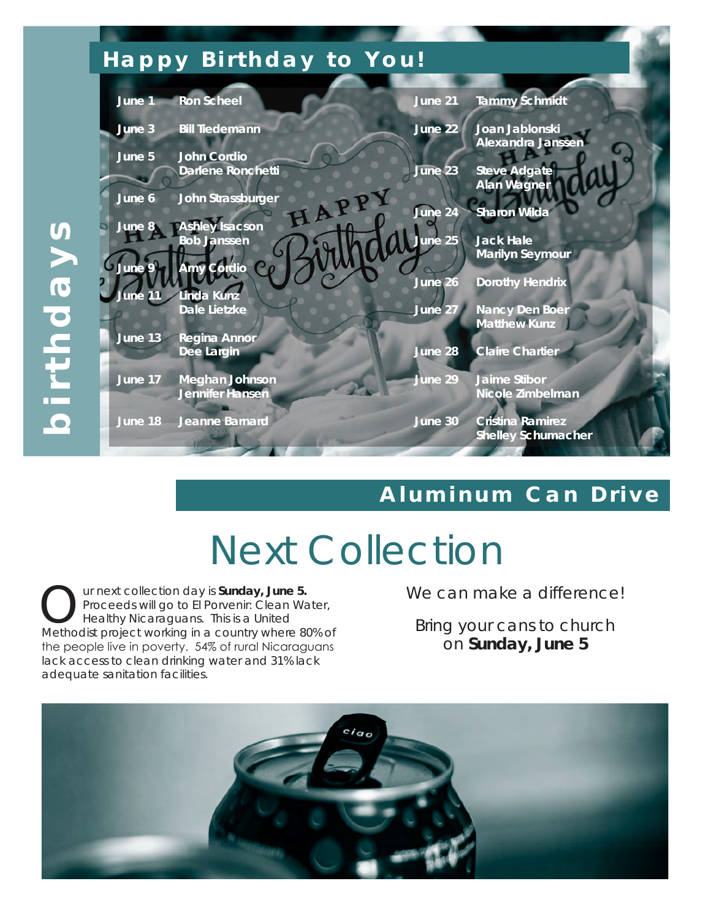# *Happy Birthday to You!*



### *Aluminum Can Drive*

# Next Collection

**Our next collection day is Sunday, June 5.**<br>
Proceeds will go to El Porvenir: Clean Wareholds: project working in a country where 8 Proceeds will go to El Porvenir: Clean Water, Methodist project working in a country where 80% of the people live in poverty. 54% of rural Nicaraguans lack access to clean drinking water and 31% lack adequate sanitation facilities.

We can make a difference!

Bring your cans to church on **Sunday, June 5**

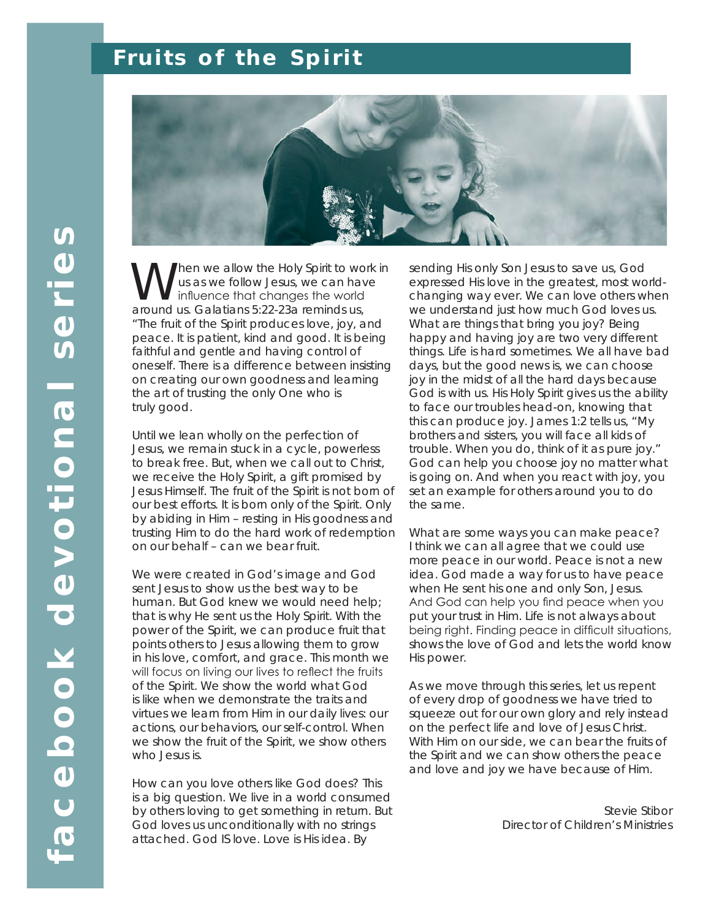# *Fruits of the Spirit*



hen we allow the Holy Spirit to work in us as we follow Jesus, we can have influence that changes the world around us. Galatians 5:22-23a reminds us, "The fruit of the Spirit produces love, joy, and peace. It is patient, kind and good. It is being faithful and gentle and having control of oneself. There is a difference between insisting on creating our own goodness and learning the art of trusting the only One who is truly good.

Until we lean wholly on the perfection of Jesus, we remain stuck in a cycle, powerless to break free. But, when we call out to Christ, we receive the Holy Spirit, a gift promised by Jesus Himself. The fruit of the Spirit is not born of our best efforts. It is born only of the Spirit. Only by abiding in Him – resting in His goodness and trusting Him to do the hard work of redemption on our behalf – can we bear fruit.

We were created in God's image and God sent Jesus to show us the best way to be human. But God knew we would need help; that is why He sent us the Holy Spirit. With the power of the Spirit, we can produce fruit that points others to Jesus allowing them to grow in his love, comfort, and grace. This month we will focus on living our lives to reflect the fruits of the Spirit. We show the world what God is like when we demonstrate the traits and virtues we learn from Him in our daily lives: our actions, our behaviors, our self-control. When we show the fruit of the Spirit, we show others who Jesus is.

How can you love others like God does? This is a big question. We live in a world consumed by others loving to get something in return. But God loves us unconditionally with no strings attached. God IS love. Love is His idea. By

sending His only Son Jesus to save us, God expressed His love in the greatest, most worldchanging way ever. We can love others when we understand just how much God loves us. What are things that bring you joy? Being happy and having joy are two very different things. Life is hard sometimes. We all have bad days, but the good news is, we can choose joy in the midst of all the hard days because God is with us. His Holy Spirit gives us the ability to face our troubles head-on, knowing that this can produce joy. James 1:2 tells us, "My brothers and sisters, you will face all kids of trouble. When you do, think of it as pure joy." God can help you choose joy no matter what is going on. And when you react with joy, you set an example for others around you to do the same.

What are some ways you can make peace? I think we can all agree that we could use more peace in our world. Peace is not a new idea. God made a way for us to have peace when He sent his one and only Son, Jesus. And God can help you find peace when you put your trust in Him. Life is not always about being right. Finding peace in difficult situations, shows the love of God and lets the world know His power.

As we move through this series, let us repent of every drop of goodness we have tried to squeeze out for our own glory and rely instead on the perfect life and love of Jesus Christ. With Him on our side, we can bear the fruits of the Spirit and we can show others the peace and love and joy we have because of Him.

> *Stevie Stibor Director of Children's Ministries*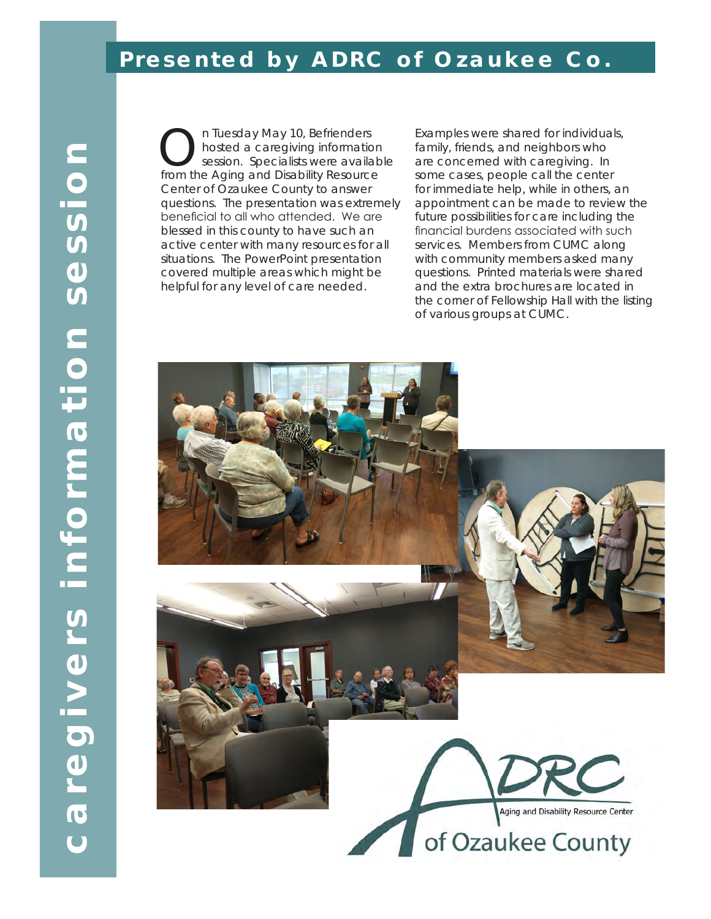#### *Presented by ADRC of Ozaukee Co.*

On Tuesday May 10, Befrienders<br>
Session. Specialists were availar<br>
from the Aging and Disability Resource hosted a caregiving information session. Specialists were available from the Aging and Disability Resource Center of Ozaukee County to answer questions. The presentation was extremely beneficial to all who attended. We are blessed in this county to have such an active center with many resources for all situations. The PowerPoint presentation covered multiple areas which might be helpful for any level of care needed.

Examples were shared for individuals, family, friends, and neighbors who are concerned with caregiving. In some cases, people call the center for immediate help, while in others, an appointment can be made to review the future possibilities for care including the financial burdens associated with such services. Members from CUMC along with community members asked many questions. Printed materials were shared and the extra brochures are located in the corner of Fellowship Hall with the listing of various groups at CUMC.